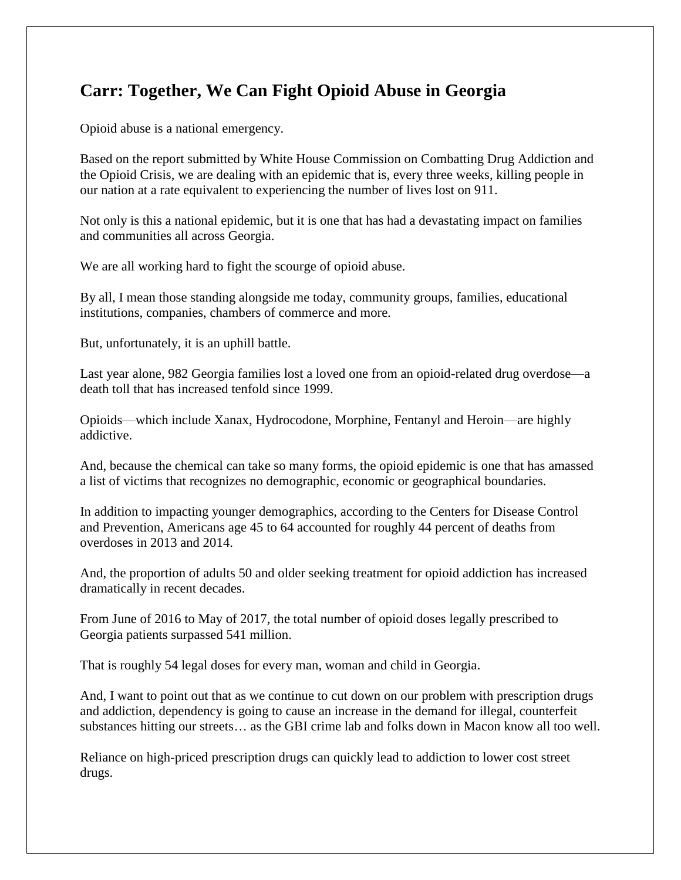## **Carr: Together, We Can Fight Opioid Abuse in Georgia**

Opioid abuse is a national emergency.

Based on the report submitted by White House Commission on Combatting Drug Addiction and the Opioid Crisis, we are dealing with an epidemic that is, every three weeks, killing people in our nation at a rate equivalent to experiencing the number of lives lost on 911.

Not only is this a national epidemic, but it is one that has had a devastating impact on families and communities all across Georgia.

We are all working hard to fight the scourge of opioid abuse.

By all, I mean those standing alongside me today, community groups, families, educational institutions, companies, chambers of commerce and more.

But, unfortunately, it is an uphill battle.

Last year alone, 982 Georgia families lost a loved one from an opioid-related drug overdose—a death toll that has increased tenfold since 1999.

Opioids—which include Xanax, Hydrocodone, Morphine, Fentanyl and Heroin—are highly addictive.

And, because the chemical can take so many forms, the opioid epidemic is one that has amassed a list of victims that recognizes no demographic, economic or geographical boundaries.

In addition to impacting younger demographics, according to the Centers for Disease Control and Prevention, Americans age 45 to 64 accounted for roughly 44 percent of deaths from overdoses in 2013 and 2014.

And, the proportion of adults 50 and older seeking treatment for opioid addiction has increased dramatically in recent decades.

From June of 2016 to May of 2017, the total number of opioid doses legally prescribed to Georgia patients surpassed 541 million.

That is roughly 54 legal doses for every man, woman and child in Georgia.

And, I want to point out that as we continue to cut down on our problem with prescription drugs and addiction, dependency is going to cause an increase in the demand for illegal, counterfeit substances hitting our streets… as the GBI crime lab and folks down in Macon know all too well.

Reliance on high-priced prescription drugs can quickly lead to addiction to lower cost street drugs.